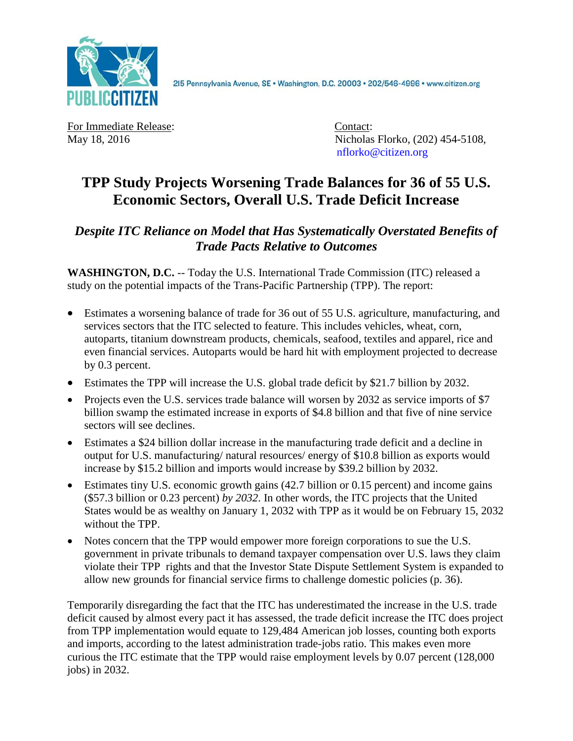

2l5 Pennsylvania Avenue, SE · Washington, D.C. 20003 · 202/546-4996 · www.citizen.org

For Immediate Release: Contact:

May 18, 2016 **Nicholas Florko**, (202) 454-5108, [nflorko@citizen.org](mailto:nflorko@citizen.org)

## **TPP Study Projects Worsening Trade Balances for 36 of 55 U.S. Economic Sectors, Overall U.S. Trade Deficit Increase**

## *Despite ITC Reliance on Model that Has Systematically Overstated Benefits of Trade Pacts Relative to Outcomes*

**WASHINGTON, D.C.** -- Today the U.S. International Trade Commission (ITC) released a study on the potential impacts of the Trans-Pacific Partnership (TPP). The report:

- Estimates a worsening balance of trade for 36 out of 55 U.S. agriculture, manufacturing, and services sectors that the ITC selected to feature. This includes vehicles, wheat, corn, autoparts, titanium downstream products, chemicals, seafood, textiles and apparel, rice and even financial services. Autoparts would be hard hit with employment projected to decrease by 0.3 percent.
- Estimates the TPP will increase the U.S. global trade deficit by \$21.7 billion by 2032.
- Projects even the U.S. services trade balance will worsen by 2032 as service imports of \$7 billion swamp the estimated increase in exports of \$4.8 billion and that five of nine service sectors will see declines.
- Estimates a \$24 billion dollar increase in the manufacturing trade deficit and a decline in output for U.S. manufacturing/ natural resources/ energy of \$10.8 billion as exports would increase by \$15.2 billion and imports would increase by \$39.2 billion by 2032.
- Estimates tiny U.S. economic growth gains (42.7 billion or 0.15 percent) and income gains (\$57.3 billion or 0.23 percent) *by 2032*. In other words, the ITC projects that the United States would be as wealthy on January 1, 2032 with TPP as it would be on February 15, 2032 without the TPP.
- Notes concern that the TPP would empower more foreign corporations to sue the U.S. government in private tribunals to demand taxpayer compensation over U.S. laws they claim violate their TPP rights and that the Investor State Dispute Settlement System is expanded to allow new grounds for financial service firms to challenge domestic policies (p. 36).

Temporarily disregarding the fact that the ITC has underestimated the increase in the U.S. trade deficit caused by almost every pact it has assessed, the trade deficit increase the ITC does project from TPP implementation would equate to 129,484 American job losses, counting both exports and imports, according to the latest administration trade-jobs ratio. This makes even more curious the ITC estimate that the TPP would raise employment levels by 0.07 percent (128,000 jobs) in 2032.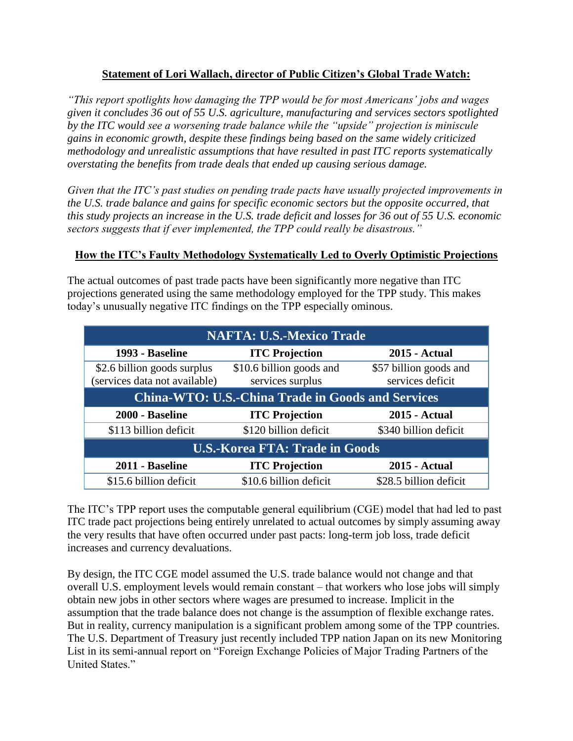## **Statement of Lori Wallach, director of Public Citizen's Global Trade Watch:**

*"This report spotlights how damaging the TPP would be for most Americans' jobs and wages given it concludes 36 out of 55 U.S. agriculture, manufacturing and services sectors spotlighted by the ITC would see a worsening trade balance while the "upside" projection is miniscule gains in economic growth, despite these findings being based on the same widely criticized methodology and unrealistic assumptions that have resulted in past ITC reports systematically overstating the benefits from trade deals that ended up causing serious damage.* 

*Given that the ITC's past studies on pending trade pacts have usually projected improvements in the U.S. trade balance and gains for specific economic sectors but the opposite occurred, that this study projects an increase in the U.S. trade deficit and losses for 36 out of 55 U.S. economic sectors suggests that if ever implemented, the TPP could really be disastrous."*

## **How the ITC's Faulty Methodology Systematically Led to Overly Optimistic Projections**

The actual outcomes of past trade pacts have been significantly more negative than ITC projections generated using the same methodology employed for the TPP study. This makes today's unusually negative ITC findings on the TPP especially ominous.

| <b>NAFTA: U.S.-Mexico Trade</b>                              |                                              |                                            |
|--------------------------------------------------------------|----------------------------------------------|--------------------------------------------|
| 1993 - Baseline                                              | <b>ITC</b> Projection                        | <b>2015 - Actual</b>                       |
| \$2.6 billion goods surplus<br>(services data not available) | \$10.6 billion goods and<br>services surplus | \$57 billion goods and<br>services deficit |
| <b>China-WTO: U.S.-China Trade in Goods and Services</b>     |                                              |                                            |
| 2000 - Baseline                                              | <b>ITC Projection</b>                        | <b>2015 - Actual</b>                       |
| \$113 billion deficit                                        | \$120 billion deficit                        | \$340 billion deficit                      |
| <b>U.S.-Korea FTA: Trade in Goods</b>                        |                                              |                                            |
|                                                              |                                              |                                            |
| 2011 - Baseline                                              | <b>ITC Projection</b>                        | 2015 - Actual                              |

The ITC's TPP report uses the computable general equilibrium (CGE) model that had led to past ITC trade pact projections being entirely unrelated to actual outcomes by simply assuming away the very results that have often occurred under past pacts: long-term job loss, trade deficit increases and currency devaluations.

By design, the ITC CGE model assumed the U.S. trade balance would not change and that overall U.S. employment levels would remain constant – that workers who lose jobs will simply obtain new jobs in other sectors where wages are presumed to increase. Implicit in the assumption that the trade balance does not change is the assumption of flexible exchange rates. But in reality, currency manipulation is a significant problem among some of the TPP countries. The U.S. Department of Treasury just recently included TPP nation Japan on its new Monitoring List in its semi-annual report on "Foreign Exchange Policies of Major Trading Partners of the United States."